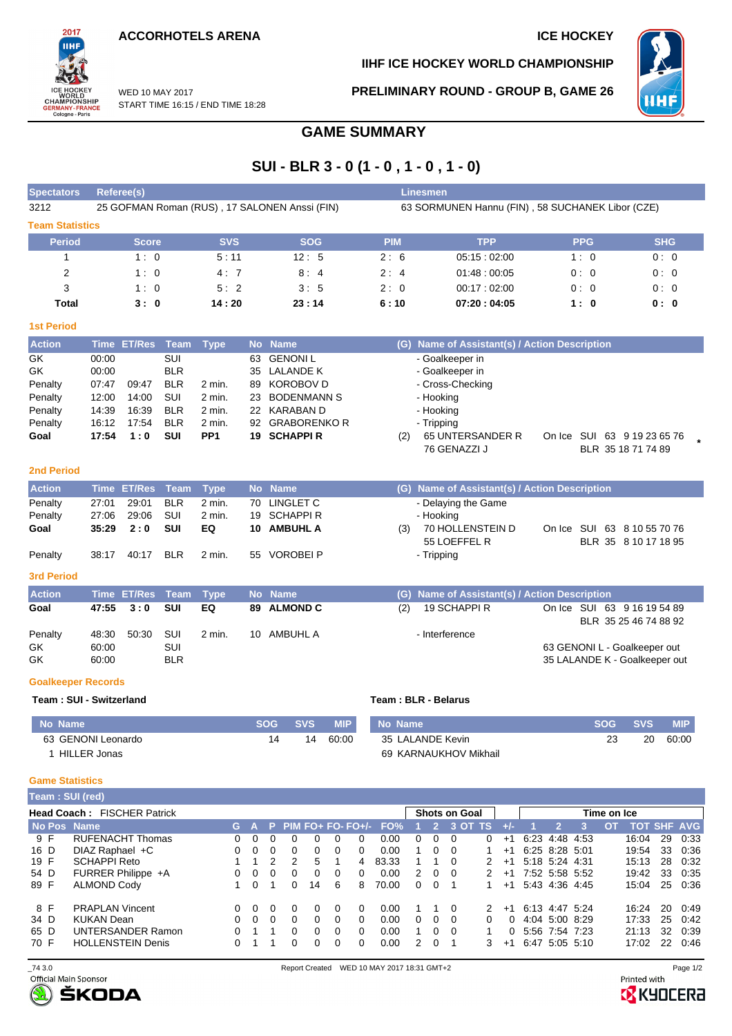**ACCORHOTELS ARENA ICE HOCKEY** 

START TIME 16:15 / END TIME 18:28

WED 10 MAY 2017



**IIHF ICE HOCKEY WORLD CHAMPIONSHIP**

**PRELIMINARY ROUND - GROUP B, GAME 26**



## **GAME SUMMARY**

## **SUI - BLR 3 - 0 (1 - 0 , 1 - 0 , 1 - 0)**

| <b>Spectators</b>         |       | <b>Referee(s)</b>  |             |                 |    |                                               |            |     | <b>Linesmen</b>                                  |  |            |                                                      |  |  |  |  |  |  |
|---------------------------|-------|--------------------|-------------|-----------------|----|-----------------------------------------------|------------|-----|--------------------------------------------------|--|------------|------------------------------------------------------|--|--|--|--|--|--|
| 3212                      |       |                    |             |                 |    | 25 GOFMAN Roman (RUS), 17 SALONEN Anssi (FIN) |            |     | 63 SORMUNEN Hannu (FIN), 58 SUCHANEK Libor (CZE) |  |            |                                                      |  |  |  |  |  |  |
| <b>Team Statistics</b>    |       |                    |             |                 |    |                                               |            |     |                                                  |  |            |                                                      |  |  |  |  |  |  |
| <b>Period</b>             |       | <b>Score</b>       |             | <b>SVS</b>      |    | <b>SOG</b>                                    | <b>PIM</b> |     | <b>TPP</b>                                       |  | <b>PPG</b> | <b>SHG</b>                                           |  |  |  |  |  |  |
| 1                         |       | 1:0                |             | 5:11            |    | 12:5                                          | 2:6        |     | 05:15:02:00                                      |  | 1:0        | 0:0                                                  |  |  |  |  |  |  |
| $\overline{2}$            |       | 1:0                |             | 4:7             |    | 8:4                                           | 2:4        |     | 01:48:00:05                                      |  | 0:0        | 0:0                                                  |  |  |  |  |  |  |
| 3                         |       | 1:0                |             | 5:2             |    | 3:5                                           | 2:0        |     | 00:17:02:00                                      |  | 0:0        | 0:0                                                  |  |  |  |  |  |  |
| Total                     |       | 3:0                |             | 14:20           |    | 23:14                                         | 6:10       |     | 07:20:04:05                                      |  | 1:0        | 0: 0                                                 |  |  |  |  |  |  |
| <b>1st Period</b>         |       |                    |             |                 |    |                                               |            |     |                                                  |  |            |                                                      |  |  |  |  |  |  |
| <b>Action</b>             |       | Time ET/Res        | <b>Team</b> | <b>Type</b>     |    | No Name                                       |            |     | (G) Name of Assistant(s) / Action Description    |  |            |                                                      |  |  |  |  |  |  |
| GK                        | 00:00 |                    | SUI         |                 | 63 | <b>GENONIL</b>                                |            |     | - Goalkeeper in                                  |  |            |                                                      |  |  |  |  |  |  |
| GK                        | 00:00 |                    | <b>BLR</b>  |                 | 35 | <b>LALANDE K</b>                              |            |     | - Goalkeeper in                                  |  |            |                                                      |  |  |  |  |  |  |
| Penalty                   | 07:47 | 09:47              | <b>BLR</b>  | $2$ min.        | 89 | <b>KOROBOV D</b>                              |            |     | - Cross-Checking                                 |  |            |                                                      |  |  |  |  |  |  |
| Penalty                   | 12:00 | 14:00              | SUI         | $2$ min.        | 23 | <b>BODENMANN S</b>                            |            |     | - Hooking                                        |  |            |                                                      |  |  |  |  |  |  |
| Penalty                   | 14:39 | 16:39              | <b>BLR</b>  | 2 min.          |    | 22 KARABAN D                                  |            |     | - Hooking                                        |  |            |                                                      |  |  |  |  |  |  |
| Penalty                   | 16:12 | 17:54              | <b>BLR</b>  | 2 min.          | 92 | <b>GRABORENKO R</b>                           |            |     | - Tripping                                       |  |            |                                                      |  |  |  |  |  |  |
| Goal                      | 17:54 | 1:0                | <b>SUI</b>  | PP <sub>1</sub> | 19 | <b>SCHAPPIR</b>                               |            | (2) | 65 UNTERSANDER R<br>76 GENAZZI J                 |  |            | On Ice SUI 63 9 19 23 65 76<br>BLR 35 18 71 74 89    |  |  |  |  |  |  |
|                           |       |                    |             |                 |    |                                               |            |     |                                                  |  |            |                                                      |  |  |  |  |  |  |
| <b>2nd Period</b>         |       |                    |             |                 |    |                                               |            |     |                                                  |  |            |                                                      |  |  |  |  |  |  |
| <b>Action</b>             |       | <b>Time ET/Res</b> | <b>Team</b> | <b>Type</b>     |    | No Name                                       |            |     | (G) Name of Assistant(s) / Action Description    |  |            |                                                      |  |  |  |  |  |  |
| Penalty                   | 27:01 | 29:01              | <b>BLR</b>  | $2$ min.        |    | 70 LINGLET C                                  |            |     | - Delaying the Game                              |  |            |                                                      |  |  |  |  |  |  |
| Penalty                   | 27:06 | 29:06              | SUI         | 2 min.          |    | 19 SCHAPPIR                                   |            |     | - Hooking                                        |  |            |                                                      |  |  |  |  |  |  |
| Goal                      | 35:29 | 2:0                | <b>SUI</b>  | EQ              | 10 | <b>AMBUHL A</b>                               |            | (3) | 70 HOLLENSTEIN D                                 |  |            | On Ice SUI 63 8 10 55 70 76                          |  |  |  |  |  |  |
|                           | 38:17 | 40:17              | <b>BLR</b>  | $2$ min.        |    | 55 VOROBEI P                                  |            |     | 55 LOEFFEL R                                     |  |            | BLR 35 8 10 17 18 95                                 |  |  |  |  |  |  |
| Penalty                   |       |                    |             |                 |    |                                               |            |     | - Tripping                                       |  |            |                                                      |  |  |  |  |  |  |
| <b>3rd Period</b>         |       |                    |             |                 |    |                                               |            |     |                                                  |  |            |                                                      |  |  |  |  |  |  |
| <b>Action</b>             |       | <b>Time ET/Res</b> | <b>Team</b> | <b>Type</b>     |    | No Name                                       |            | (G) | <b>Name of Assistant(s) / Action Description</b> |  |            |                                                      |  |  |  |  |  |  |
| Goal                      | 47:55 | 3:0                | <b>SUI</b>  | EQ              | 89 | <b>ALMOND C</b>                               |            | (2) | 19 SCHAPPI R                                     |  |            | On Ice SUI 63 9 16 19 54 89<br>BLR 35 25 46 74 88 92 |  |  |  |  |  |  |
| Penalty                   | 48:30 | 50:30              | SUI         | 2 min.          |    | 10 AMBUHL A                                   |            |     | - Interference                                   |  |            |                                                      |  |  |  |  |  |  |
| GK                        | 60:00 |                    | SUI         |                 |    |                                               |            |     |                                                  |  |            | 63 GENONI L - Goalkeeper out                         |  |  |  |  |  |  |
| GK                        | 60:00 |                    | <b>BLR</b>  |                 |    |                                               |            |     |                                                  |  |            | 35 LALANDE K - Goalkeeper out                        |  |  |  |  |  |  |
| <b>Goalkeeper Records</b> |       |                    |             |                 |    |                                               |            |     |                                                  |  |            |                                                      |  |  |  |  |  |  |

### **Team : SUI - Switzerland Team : BLR - Belarus**

### **No Name SOG SVS MIP** 63 GENONI Leonardo 1 HILLER Jonas 14 14 60:00 **No Name SOG SVS MIP** 35 LALANDE Kevin 69 KARNAUKHOV Mikhail 23 20 60:00

### **Game Statistics**

| Team: SUI (red) |                                    |    |           |               |              |    |   |   |                       |              |          |                      |   |       |                    |                |  |    |       |    |                    |
|-----------------|------------------------------------|----|-----------|---------------|--------------|----|---|---|-----------------------|--------------|----------|----------------------|---|-------|--------------------|----------------|--|----|-------|----|--------------------|
|                 | <b>Head Coach: FISCHER Patrick</b> |    |           |               |              |    |   |   |                       |              |          | <b>Shots on Goal</b> |   |       | Time on Ice        |                |  |    |       |    |                    |
| No Pos Name     |                                    | G. | <b>AV</b> | P.            |              |    |   |   | PIM FO+ FO- FO+/- FO% |              | 2.       | 3 OT TS              |   | $+/-$ |                    |                |  | O. |       |    | <b>TOT SHF AVG</b> |
| 9 F             | <b>RUFENACHT Thomas</b>            |    | $\Omega$  |               | 0            |    |   | 0 | 0.00                  |              | 0        |                      | 0 | $+1$  | 6:23 4:48 4:53     |                |  |    | 16:04 | 29 | 0.33               |
| 16 D            | DIAZ Raphael +C                    | 0  | $\Omega$  | $\Omega$      | <sup>n</sup> |    |   | 0 | 0.00                  |              | $\Omega$ | $\Omega$             |   | $+1$  | 6:25 8:28 5:01     |                |  |    | 19:54 | 33 | 0:36               |
| 19 F            | <b>SCHAPPI Reto</b>                |    |           | $\mathcal{P}$ | 2            | 5  |   | 4 | 83.33                 |              |          | - 0                  |   | $+1$  | 5:18 5:24 4:31     |                |  |    | 15:13 | 28 | 0:32               |
| 54 D            | FURRER Philippe +A                 |    | - 0       | $\Omega$      | 0            | 0  | n | 0 | 0.00                  | 2            | $\Omega$ | $\Omega$             |   |       | +1 7:52 5:58 5:52  |                |  |    | 19:42 | 33 | 0:35               |
| 89 F            | <b>ALMOND Cody</b>                 |    |           |               |              | 14 | 6 | 8 | 70.00                 | <sup>o</sup> | $\Omega$ |                      |   | $+1$  |                    | 5:43 4:36 4:45 |  |    | 15:04 | 25 | 0:36               |
| 8 F             | <b>PRAPLAN Vincent</b>             |    | - 0       | $\Omega$      | 0            | 0  |   | 0 | 0.00                  |              |          | - 0                  |   | $+1$  | 6:13 4:47 5:24     |                |  |    | 16:24 | 20 | 0:49               |
| 34 D            | <b>KUKAN Dean</b>                  |    |           |               |              |    |   | 0 | 0.00                  | 0            | $\Omega$ | $\Omega$             |   | 0     | 4:04 5:00 8:29     |                |  |    | 17:33 | 25 | 0:42               |
| 65 D            | <b>UNTERSANDER Ramon</b>           |    |           |               | <sup>n</sup> |    |   | 0 | 0.00                  |              | $\Omega$ | $\Omega$             |   |       | $0$ 5:56 7:54 7:23 |                |  |    | 21:13 | 32 | 0:39               |
| 70 F            | <b>HOLLENSTEIN Denis</b>           |    |           |               | 0            |    |   | 0 | 0.00                  |              | $\Omega$ |                      |   | $+1$  | 6:47 5:05 5:10     |                |  |    | 17:02 | 22 | 0:46               |





**B** KYOCERA